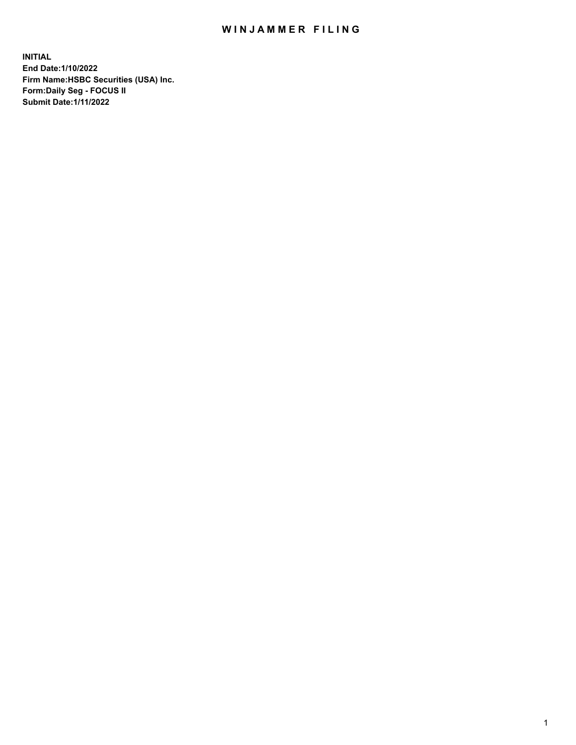## WIN JAMMER FILING

**INITIAL End Date:1/10/2022 Firm Name:HSBC Securities (USA) Inc. Form:Daily Seg - FOCUS II Submit Date:1/11/2022**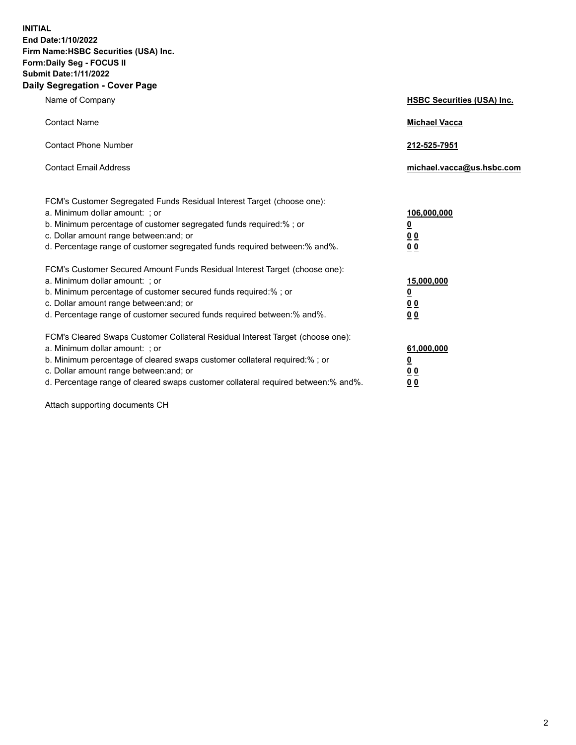**INITIAL End Date:1/10/2022 Firm Name:HSBC Securities (USA) Inc. Form:Daily Seg - FOCUS II Submit Date:1/11/2022 Daily Segregation - Cover Page**

| Name of Company                                                                                                                                                                                                                                                                                                                | <b>HSBC Securities (USA) Inc.</b>                           |
|--------------------------------------------------------------------------------------------------------------------------------------------------------------------------------------------------------------------------------------------------------------------------------------------------------------------------------|-------------------------------------------------------------|
| <b>Contact Name</b>                                                                                                                                                                                                                                                                                                            | <b>Michael Vacca</b>                                        |
| <b>Contact Phone Number</b>                                                                                                                                                                                                                                                                                                    | 212-525-7951                                                |
| <b>Contact Email Address</b>                                                                                                                                                                                                                                                                                                   | michael.vacca@us.hsbc.com                                   |
| FCM's Customer Segregated Funds Residual Interest Target (choose one):<br>a. Minimum dollar amount: ; or<br>b. Minimum percentage of customer segregated funds required:% ; or<br>c. Dollar amount range between: and; or<br>d. Percentage range of customer segregated funds required between:% and%.                         | 106,000,000<br><u>0</u><br>0 <sub>0</sub><br>0 <sub>0</sub> |
| FCM's Customer Secured Amount Funds Residual Interest Target (choose one):<br>a. Minimum dollar amount: ; or<br>b. Minimum percentage of customer secured funds required:% ; or<br>c. Dollar amount range between: and; or<br>d. Percentage range of customer secured funds required between: % and %.                         | 15,000,000<br><u>0</u><br>0 <sub>0</sub><br>0 <sub>0</sub>  |
| FCM's Cleared Swaps Customer Collateral Residual Interest Target (choose one):<br>a. Minimum dollar amount: ; or<br>b. Minimum percentage of cleared swaps customer collateral required:% ; or<br>c. Dollar amount range between: and; or<br>d. Percentage range of cleared swaps customer collateral required between:% and%. | 61,000,000<br><u>0</u><br>00<br>00                          |

Attach supporting documents CH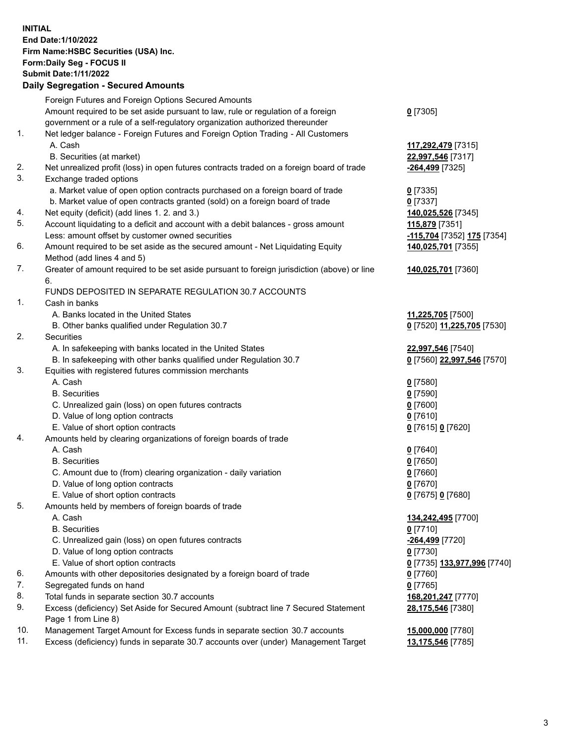**INITIAL End Date:1/10/2022 Firm Name:HSBC Securities (USA) Inc. Form:Daily Seg - FOCUS II Submit Date:1/11/2022 Daily Segregation - Secured Amounts** Foreign Futures and Foreign Options Secured Amounts Amount required to be set aside pursuant to law, rule or regulation of a foreign government or a rule of a self-regulatory organization authorized thereunder 1. Net ledger balance - Foreign Futures and Foreign Option Trading - All Customers A. Cash **117,292,479** [7315] B. Securities (at market) **22,997,546** [7317] 2. Net unrealized profit (loss) in open futures contracts traded on a foreign board of trade **-264,499** [7325] 3. Exchange traded options

- a. Market value of open option contracts purchased on a foreign board of trade **0** [7335]
- b. Market value of open contracts granted (sold) on a foreign board of trade **0** [7337]
- 4. Net equity (deficit) (add lines 1. 2. and 3.) **140,025,526** [7345]
- 5. Account liquidating to a deficit and account with a debit balances gross amount **115,879** [7351] Less: amount offset by customer owned securities **-115,704** [7352] **175** [7354]
- 6. Amount required to be set aside as the secured amount Net Liquidating Equity Method (add lines 4 and 5)
- 7. Greater of amount required to be set aside pursuant to foreign jurisdiction (above) or line 6.

## FUNDS DEPOSITED IN SEPARATE REGULATION 30.7 ACCOUNTS

- 1. Cash in banks
	- A. Banks located in the United States **11,225,705** [7500]
	- B. Other banks qualified under Regulation 30.7 **0** [7520] **11,225,705** [7530]
- 2. Securities
	- A. In safekeeping with banks located in the United States **22,997,546** [7540]
	- B. In safekeeping with other banks qualified under Regulation 30.7 **0** [7560] **22,997,546** [7570]
- 3. Equities with registered futures commission merchants
	- A. Cash **0** [7580]
	- B. Securities **0** [7590]
	- C. Unrealized gain (loss) on open futures contracts **0** [7600]
	- D. Value of long option contracts **0** [7610]
	- E. Value of short option contracts **0** [7615] **0** [7620]
- 4. Amounts held by clearing organizations of foreign boards of trade
	- A. Cash **0** [7640]
	- B. Securities **0** [7650]
	- C. Amount due to (from) clearing organization daily variation **0** [7660]
	- D. Value of long option contracts **0** [7670]
	- E. Value of short option contracts **0** [7675] **0** [7680]
- 5. Amounts held by members of foreign boards of trade
	-
	- B. Securities **0** [7710]
	- C. Unrealized gain (loss) on open futures contracts **-264,499** [7720]
	- D. Value of long option contracts **0** [7730]
	- E. Value of short option contracts **0** [7735] **133,977,996** [7740]
- 6. Amounts with other depositories designated by a foreign board of trade **0** [7760]
- 7. Segregated funds on hand **0** [7765]
- 8. Total funds in separate section 30.7 accounts **168,201,247** [7770]
- 9. Excess (deficiency) Set Aside for Secured Amount (subtract line 7 Secured Statement Page 1 from Line 8)
- 10. Management Target Amount for Excess funds in separate section 30.7 accounts **15,000,000** [7780]
- 11. Excess (deficiency) funds in separate 30.7 accounts over (under) Management Target **13,175,546** [7785]

**140,025,701** [7355]

**140,025,701** [7360]

 A. Cash **134,242,495** [7700] **28,175,546** [7380]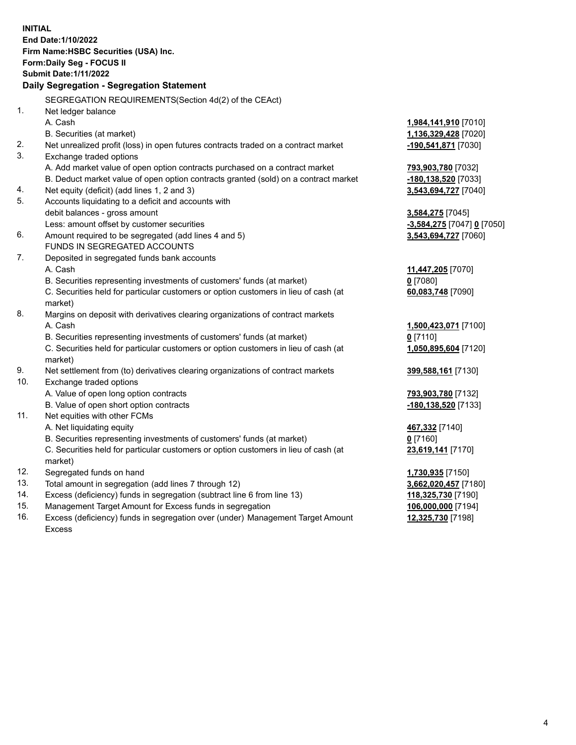**INITIAL End Date:1/10/2022 Firm Name:HSBC Securities (USA) Inc. Form:Daily Seg - FOCUS II Submit Date:1/11/2022 Daily Segregation - Segregation Statement** SEGREGATION REQUIREMENTS(Section 4d(2) of the CEAct) 1. Net ledger balance A. Cash **1,984,141,910** [7010] B. Securities (at market) **1,136,329,428** [7020] 2. Net unrealized profit (loss) in open futures contracts traded on a contract market **-190,541,871** [7030] 3. Exchange traded options A. Add market value of open option contracts purchased on a contract market **793,903,780** [7032] B. Deduct market value of open option contracts granted (sold) on a contract market **-180,138,520** [7033] 4. Net equity (deficit) (add lines 1, 2 and 3) **3,543,694,727** [7040] 5. Accounts liquidating to a deficit and accounts with debit balances - gross amount **3,584,275** [7045] Less: amount offset by customer securities **-3,584,275** [7047] **0** [7050] 6. Amount required to be segregated (add lines 4 and 5) **3,543,694,727** [7060] FUNDS IN SEGREGATED ACCOUNTS 7. Deposited in segregated funds bank accounts A. Cash **11,447,205** [7070] B. Securities representing investments of customers' funds (at market) **0** [7080] C. Securities held for particular customers or option customers in lieu of cash (at market) **60,083,748** [7090] 8. Margins on deposit with derivatives clearing organizations of contract markets A. Cash **1,500,423,071** [7100] B. Securities representing investments of customers' funds (at market) **0** [7110] C. Securities held for particular customers or option customers in lieu of cash (at market) **1,050,895,604** [7120] 9. Net settlement from (to) derivatives clearing organizations of contract markets **399,588,161** [7130] 10. Exchange traded options A. Value of open long option contracts **793,903,780** [7132] B. Value of open short option contracts **-180,138,520** [7133] 11. Net equities with other FCMs A. Net liquidating equity **467,332** [7140] B. Securities representing investments of customers' funds (at market) **0** [7160] C. Securities held for particular customers or option customers in lieu of cash (at market) **23,619,141** [7170] 12. Segregated funds on hand **1,730,935** [7150] 13. Total amount in segregation (add lines 7 through 12) **3,662,020,457** [7180] 14. Excess (deficiency) funds in segregation (subtract line 6 from line 13) **118,325,730** [7190] 15. Management Target Amount for Excess funds in segregation **106,000,000** [7194]

16. Excess (deficiency) funds in segregation over (under) Management Target Amount Excess

**12,325,730** [7198]